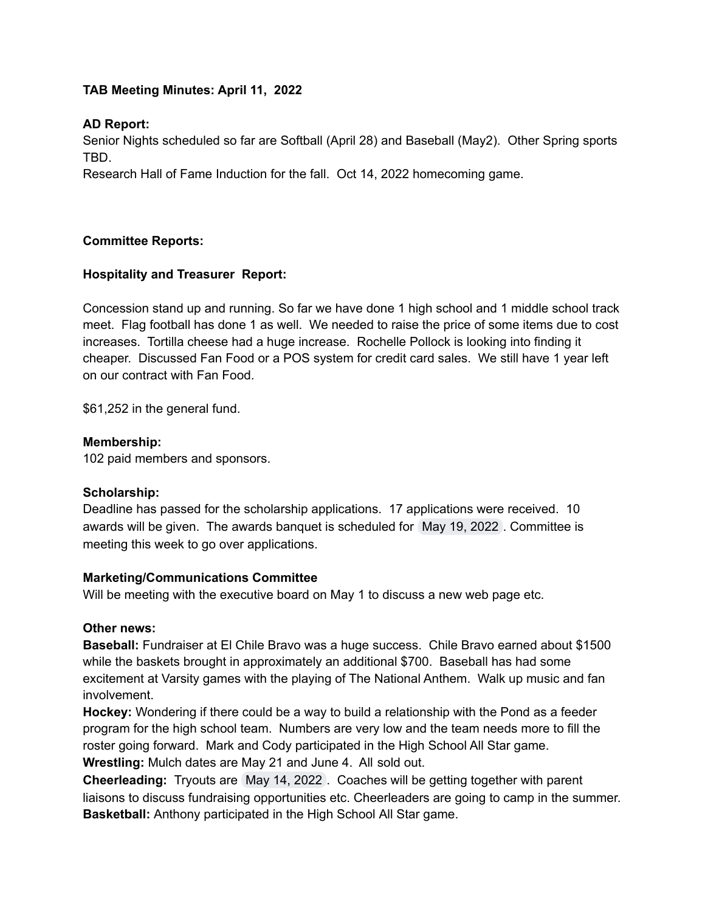# **TAB Meeting Minutes: April 11, 2022**

## **AD Report:**

Senior Nights scheduled so far are Softball (April 28) and Baseball (May2). Other Spring sports TBD.

Research Hall of Fame Induction for the fall. Oct 14, 2022 homecoming game.

## **Committee Reports:**

# **Hospitality and Treasurer Report:**

Concession stand up and running. So far we have done 1 high school and 1 middle school track meet. Flag football has done 1 as well. We needed to raise the price of some items due to cost increases. Tortilla cheese had a huge increase. Rochelle Pollock is looking into finding it cheaper. Discussed Fan Food or a POS system for credit card sales. We still have 1 year left on our contract with Fan Food.

\$61,252 in the general fund.

#### **Membership:**

102 paid members and sponsors.

## **Scholarship:**

Deadline has passed for the scholarship applications. 17 applications were received. 10 awards will be given. The awards banquet is scheduled for May 19, 2022 . Committee is meeting this week to go over applications.

## **Marketing/Communications Committee**

Will be meeting with the executive board on May 1 to discuss a new web page etc.

## **Other news:**

**Baseball:** Fundraiser at El Chile Bravo was a huge success. Chile Bravo earned about \$1500 while the baskets brought in approximately an additional \$700. Baseball has had some excitement at Varsity games with the playing of The National Anthem. Walk up music and fan involvement.

**Hockey:** Wondering if there could be a way to build a relationship with the Pond as a feeder program for the high school team. Numbers are very low and the team needs more to fill the roster going forward. Mark and Cody participated in the High School All Star game. **Wrestling:** Mulch dates are May 21 and June 4. All sold out.

**Cheerleading:** Tryouts are May 14, 2022 . Coaches will be getting together with parent liaisons to discuss fundraising opportunities etc. Cheerleaders are going to camp in the summer. **Basketball:** Anthony participated in the High School All Star game.